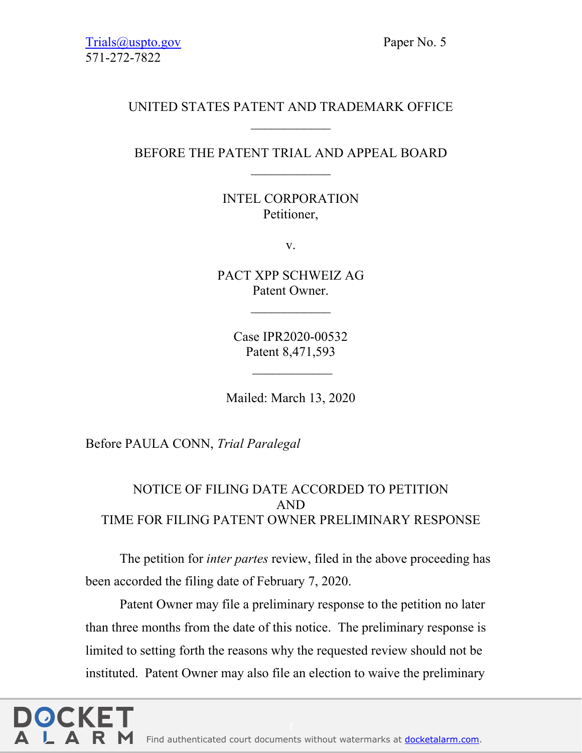## UNITED STATES PATENT AND TRADEMARK OFFICE

## BEFORE THE PATENT TRIAL AND APPEAL BOARD  $\frac{1}{2}$

INTEL CORPORATION Petitioner,

v.

PACT XPP SCHWEIZ AG Patent Owner.

 $\frac{1}{2}$ 

Case IPR2020-00532 Patent 8,471,593

 $\frac{1}{2}$ 

Mailed: March 13, 2020

Before PAULA CONN, *Trial Paralegal*

# NOTICE OF FILING DATE ACCORDED TO PETITION AND TIME FOR FILING PATENT OWNER PRELIMINARY RESPONSE

The petition for *inter partes* review, filed in the above proceeding has been accorded the filing date of February 7, 2020.

Patent Owner may file a preliminary response to the petition no later than three months from the date of this notice. The preliminary response is limited to setting forth the reasons why the requested review should not be instituted. Patent Owner may also file an election to waive the preliminary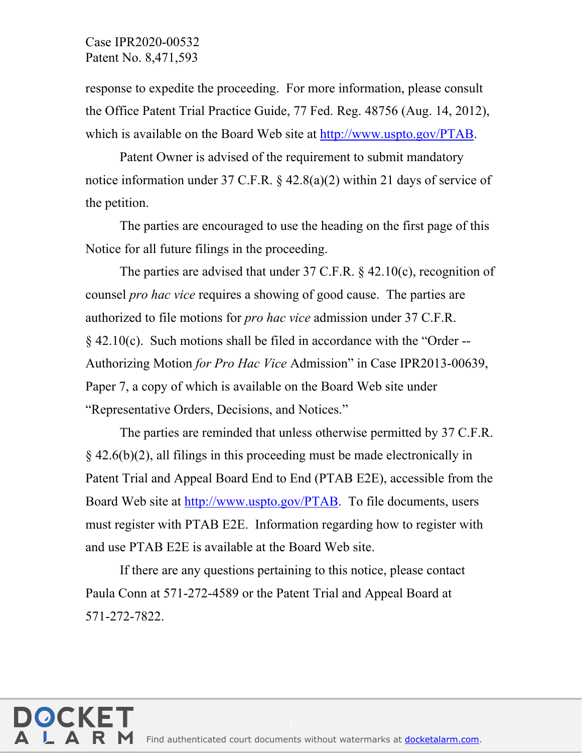### Case IPR2020-00532 Patent No. 8,471,593

response to expedite the proceeding. For more information, please consult the Office Patent Trial Practice Guide, 77 Fed. Reg. 48756 (Aug. 14, 2012), which is available on the Board Web site at http://www.uspto.gov/PTAB.

Patent Owner is advised of the requirement to submit mandatory notice information under 37 C.F.R. § 42.8(a)(2) within 21 days of service of the petition.

The parties are encouraged to use the heading on the first page of this Notice for all future filings in the proceeding.

The parties are advised that under 37 C.F.R.  $\&$  42.10(c), recognition of counsel *pro hac vice* requires a showing of good cause. The parties are authorized to file motions for *pro hac vice* admission under 37 C.F.R. § 42.10(c). Such motions shall be filed in accordance with the "Order -- Authorizing Motion *for Pro Hac Vice* Admission" in Case IPR2013-00639, Paper 7, a copy of which is available on the Board Web site under "Representative Orders, Decisions, and Notices."

The parties are reminded that unless otherwise permitted by 37 C.F.R. § 42.6(b)(2), all filings in this proceeding must be made electronically in Patent Trial and Appeal Board End to End (PTAB E2E), accessible from the Board Web site at http://www.uspto.gov/PTAB. To file documents, users must register with PTAB E2E. Information regarding how to register with and use PTAB E2E is available at the Board Web site.

If there are any questions pertaining to this notice, please contact Paula Conn at 571-272-4589 or the Patent Trial and Appeal Board at 571-272-7822.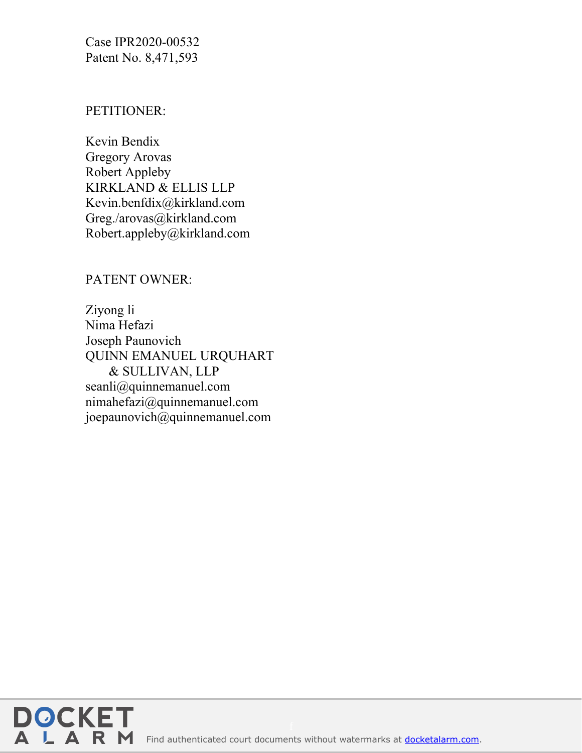Case IPR2020-00532 Patent No. 8,471,593

#### PETITIONER:

Kevin Bendix Gregory Arovas Robert Appleby KIRKLAND & ELLIS LLP Kevin.benfdix@kirkland.com Greg./arovas@kirkland.com Robert.appleby@kirkland.com

### PATENT OWNER:

Ziyong li Nima Hefazi Joseph Paunovich QUINN EMANUEL URQUHART & SULLIVAN, LLP seanli@quinnemanuel.com nimahefazi@quinnemanuel.com joepaunovich@quinnemanuel.com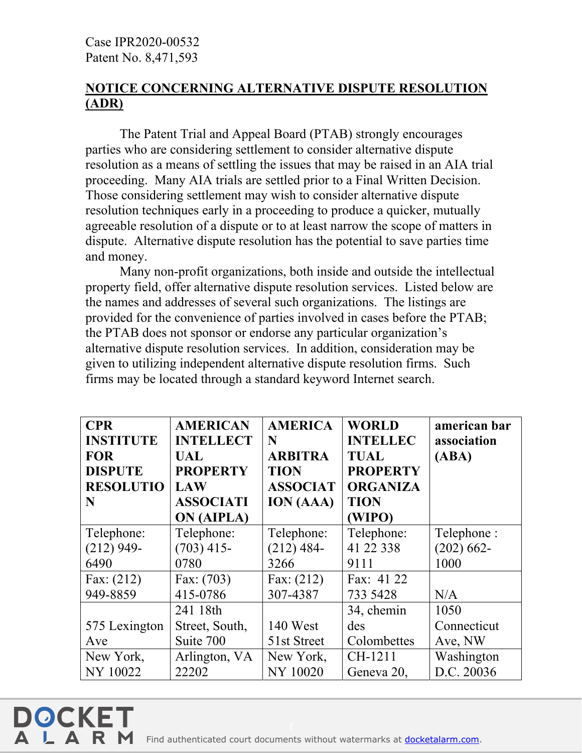**DOCKE** 

# **NOTICE CONCERNING ALTERNATIVE DISPUTE RESOLUTION (ADR)**

 The Patent Trial and Appeal Board (PTAB) strongly encourages parties who are considering settlement to consider alternative dispute resolution as a means of settling the issues that may be raised in an AIA trial proceeding. Many AIA trials are settled prior to a Final Written Decision. Those considering settlement may wish to consider alternative dispute resolution techniques early in a proceeding to produce a quicker, mutually agreeable resolution of a dispute or to at least narrow the scope of matters in dispute. Alternative dispute resolution has the potential to save parties time and money.

 Many non-profit organizations, both inside and outside the intellectual property field, offer alternative dispute resolution services. Listed below are the names and addresses of several such organizations. The listings are provided for the convenience of parties involved in cases before the PTAB; the PTAB does not sponsor or endorse any particular organization's alternative dispute resolution services. In addition, consideration may be given to utilizing independent alternative dispute resolution firms. Such firms may be located through a standard keyword Internet search.

| <b>CPR</b>       | <b>AMERICAN</b>   | <b>AMERICA</b>   | <b>WORLD</b>    | american bar  |
|------------------|-------------------|------------------|-----------------|---------------|
| <b>INSTITUTE</b> | <b>INTELLECT</b>  | N                | <b>INTELLEC</b> | association   |
| <b>FOR</b>       | UAL               | <b>ARBITRA</b>   | <b>TUAL</b>     | (ABA)         |
| <b>DISPUTE</b>   | <b>PROPERTY</b>   | <b>TION</b>      | <b>PROPERTY</b> |               |
| <b>RESOLUTIO</b> | <b>LAW</b>        | <b>ASSOCIAT</b>  | <b>ORGANIZA</b> |               |
| N                | <b>ASSOCIATI</b>  | <b>ION</b> (AAA) | <b>TION</b>     |               |
|                  | <b>ON (AIPLA)</b> |                  | (WIPO)          |               |
| Telephone:       | Telephone:        | Telephone:       | Telephone:      | Telephone:    |
| $(212)$ 949-     | $(703)$ 415-      | $(212)$ 484-     | 41 22 338       | $(202) 662 -$ |
| 6490             | 0780              | 3266             | 9111            | 1000          |
| Fax: $(212)$     | Fax: $(703)$      | Fax: $(212)$     | Fax: 41 22      |               |
| 949-8859         | 415-0786          | 307-4387         | 733 5428        | N/A           |
|                  | 241 18th          |                  | 34, chemin      | 1050          |
| 575 Lexington    | Street, South,    | 140 West         | des             | Connecticut   |
| Ave              | Suite 700         | 51st Street      | Colombettes     | Ave, NW       |
| New York,        | Arlington, VA     | New York,        | CH-1211         | Washington    |
| <b>NY 10022</b>  | 22202             | <b>NY 10020</b>  | Geneva 20,      | D.C. 20036    |